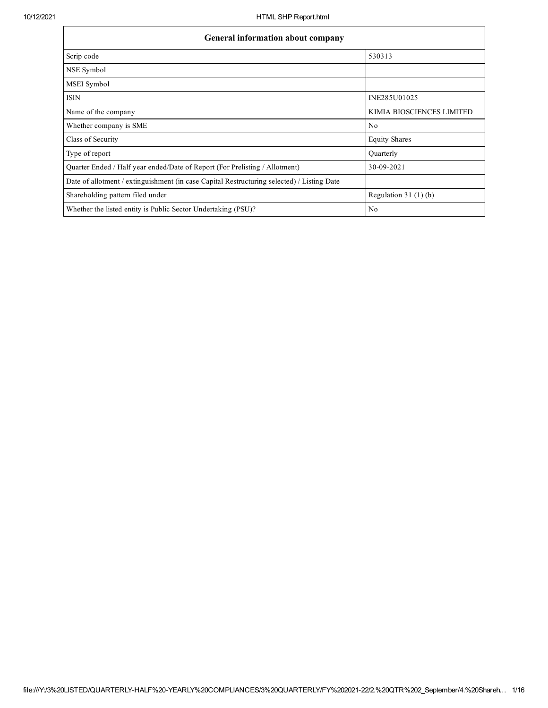$\mathbf{r}$ 

 $\overline{\phantom{0}}$ 

| <b>General information about company</b>                                                   |                           |  |  |  |  |  |
|--------------------------------------------------------------------------------------------|---------------------------|--|--|--|--|--|
| Scrip code                                                                                 | 530313                    |  |  |  |  |  |
| NSE Symbol                                                                                 |                           |  |  |  |  |  |
| MSEI Symbol                                                                                |                           |  |  |  |  |  |
| <b>ISIN</b>                                                                                | INE285U01025              |  |  |  |  |  |
| Name of the company                                                                        | KIMIA BIOSCIENCES LIMITED |  |  |  |  |  |
| Whether company is SME                                                                     | N <sub>0</sub>            |  |  |  |  |  |
| Class of Security                                                                          | <b>Equity Shares</b>      |  |  |  |  |  |
| Type of report                                                                             | Quarterly                 |  |  |  |  |  |
| Quarter Ended / Half year ended/Date of Report (For Prelisting / Allotment)                | 30-09-2021                |  |  |  |  |  |
| Date of allotment / extinguishment (in case Capital Restructuring selected) / Listing Date |                           |  |  |  |  |  |
| Shareholding pattern filed under                                                           | Regulation $31(1)(b)$     |  |  |  |  |  |
| Whether the listed entity is Public Sector Undertaking (PSU)?                              | No                        |  |  |  |  |  |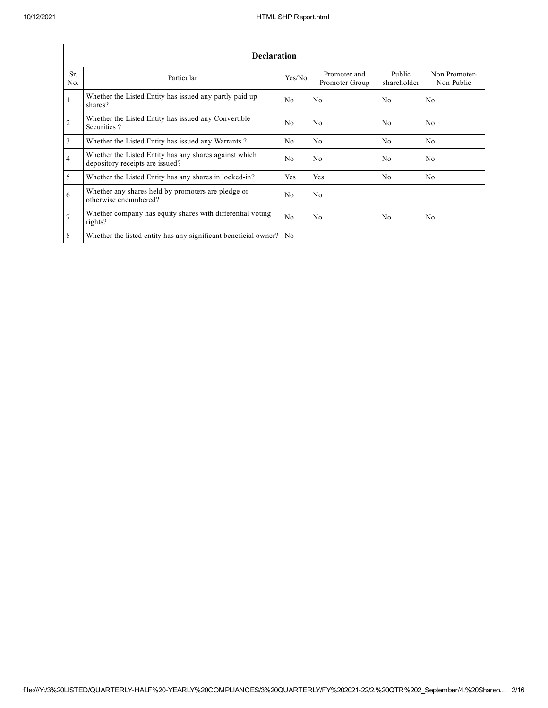|                | <b>Declaration</b>                                                                        |                |                                |                       |                             |  |  |  |  |
|----------------|-------------------------------------------------------------------------------------------|----------------|--------------------------------|-----------------------|-----------------------------|--|--|--|--|
| Sr.<br>No.     | Particular                                                                                | Yes/No         | Promoter and<br>Promoter Group | Public<br>shareholder | Non Promoter-<br>Non Public |  |  |  |  |
| 1              | Whether the Listed Entity has issued any partly paid up<br>shares?                        | N <sub>0</sub> | No                             | N <sub>0</sub>        | N <sub>0</sub>              |  |  |  |  |
| $\overline{2}$ | Whether the Listed Entity has issued any Convertible<br>Securities?                       | N <sub>0</sub> | No                             | N <sub>0</sub>        | N <sub>0</sub>              |  |  |  |  |
| 3              | Whether the Listed Entity has issued any Warrants?                                        | N <sub>0</sub> | N <sub>0</sub>                 | N <sub>0</sub>        | No                          |  |  |  |  |
| $\overline{4}$ | Whether the Listed Entity has any shares against which<br>depository receipts are issued? | N <sub>0</sub> | No.                            | N <sub>0</sub>        | N <sub>0</sub>              |  |  |  |  |
| 5              | Whether the Listed Entity has any shares in locked-in?                                    | Yes            | Yes                            | N <sub>0</sub>        | N <sub>0</sub>              |  |  |  |  |
| 6              | Whether any shares held by promoters are pledge or<br>otherwise encumbered?               | N <sub>0</sub> | No.                            |                       |                             |  |  |  |  |
| 7              | Whether company has equity shares with differential voting<br>rights?                     | N <sub>0</sub> | No.                            | N <sub>0</sub>        | N <sub>0</sub>              |  |  |  |  |
| 8              | Whether the listed entity has any significant beneficial owner?                           | N <sub>o</sub> |                                |                       |                             |  |  |  |  |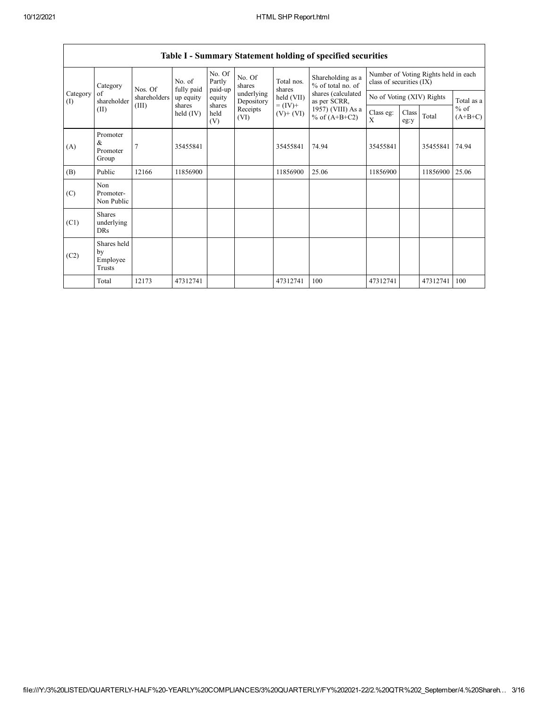|                 | Category                                | No. of<br>Nos. Of | fully paid            | No. Of<br>Partly<br>paid-up | No. Of<br>shares         | Total nos.<br>shares<br>held (VII) | Shareholding as a<br>% of total no. of<br>shares (calculated<br>as per SCRR, | Number of Voting Rights held in each<br>class of securities (IX) |               |          |                     |
|-----------------|-----------------------------------------|-------------------|-----------------------|-----------------------------|--------------------------|------------------------------------|------------------------------------------------------------------------------|------------------------------------------------------------------|---------------|----------|---------------------|
| Category<br>(I) | of<br>shareholder                       | shareholders      | up equity             | equity                      | underlying<br>Depository |                                    |                                                                              | No of Voting (XIV) Rights                                        |               |          | Total as a          |
|                 | (II)                                    | (III)             | shares<br>held $(IV)$ | shares<br>held<br>(V)       | Receipts<br>(VI)         | $= (IV) +$<br>$(V)$ + $(VI)$       | 1957) (VIII) As a<br>% of $(A+B+C2)$                                         | Class eg:<br>X                                                   | Class<br>eg:y | Total    | $%$ of<br>$(A+B+C)$ |
| (A)             | Promoter<br>&<br>Promoter<br>Group      | 7                 | 35455841              |                             |                          | 35455841                           | 74.94                                                                        | 35455841                                                         |               | 35455841 | 74.94               |
| (B)             | Public                                  | 12166             | 11856900              |                             |                          | 11856900                           | 25.06                                                                        | 11856900                                                         |               | 11856900 | 25.06               |
| (C)             | Non<br>Promoter-<br>Non Public          |                   |                       |                             |                          |                                    |                                                                              |                                                                  |               |          |                     |
| (C1)            | <b>Shares</b><br>underlying<br>DRs      |                   |                       |                             |                          |                                    |                                                                              |                                                                  |               |          |                     |
| (C2)            | Shares held<br>by<br>Employee<br>Trusts |                   |                       |                             |                          |                                    |                                                                              |                                                                  |               |          |                     |
|                 | Total                                   | 12173             | 47312741              |                             |                          | 47312741                           | 100                                                                          | 47312741                                                         |               | 47312741 | 100                 |

## Table I - Summary Statement holding of specified securities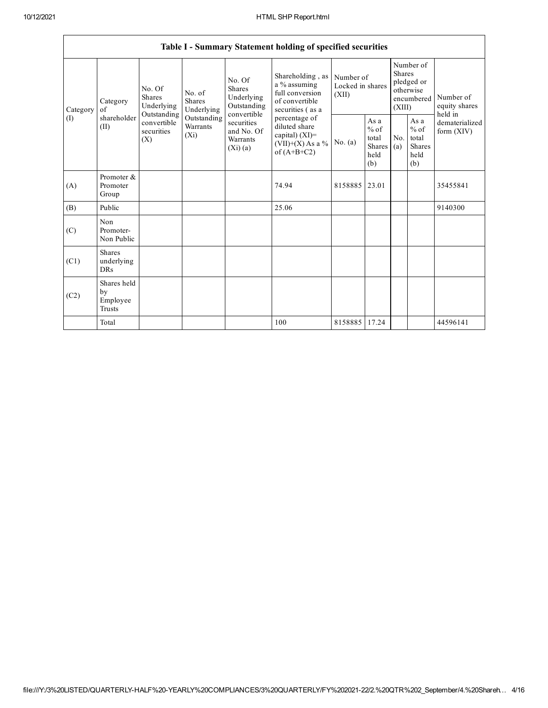٦

|          | Table I - Summary Statement holding of specified securities |                                  |                                                                                                                                                                                                                                                                                                                                                                                                          |           |                                                         |                                        |                                                         |                                                                               |  |                                                                         |
|----------|-------------------------------------------------------------|----------------------------------|----------------------------------------------------------------------------------------------------------------------------------------------------------------------------------------------------------------------------------------------------------------------------------------------------------------------------------------------------------------------------------------------------------|-----------|---------------------------------------------------------|----------------------------------------|---------------------------------------------------------|-------------------------------------------------------------------------------|--|-------------------------------------------------------------------------|
| Category | Category<br>of                                              | No. Of<br>Shares<br>Underlying   | Shareholding, as<br>No. Of<br>a % assuming<br>Shares<br>full conversion<br>No. of<br>Underlying<br><b>Shares</b><br>of convertible<br>Outstanding<br>Underlying<br>securities (as a<br>Outstanding<br>convertible<br>Outstanding<br>percentage of<br>securities<br>Warrants<br>diluted share<br>and No. Of<br>capital) $(XI)$ =<br>$(X_i)$<br>Warrants<br>$(VII)+(X)$ As a %<br>(Xi)(a)<br>of $(A+B+C2)$ |           |                                                         | Number of<br>Locked in shares<br>(XII) |                                                         | Number of<br><b>Shares</b><br>pledged or<br>otherwise<br>encumbered<br>(XIII) |  | Number of<br>equity shares<br>held in<br>dematerialized<br>form $(XIV)$ |
| (I)      | shareholder<br>(II)                                         | convertible<br>securities<br>(X) |                                                                                                                                                                                                                                                                                                                                                                                                          | No. $(a)$ | As a<br>$%$ of<br>total<br><b>Shares</b><br>held<br>(b) | No.<br>(a)                             | As a<br>$%$ of<br>total<br><b>Shares</b><br>held<br>(b) |                                                                               |  |                                                                         |
| (A)      | Promoter &<br>Promoter<br>Group                             |                                  |                                                                                                                                                                                                                                                                                                                                                                                                          |           | 74.94                                                   | 8158885                                | 23.01                                                   |                                                                               |  | 35455841                                                                |
| (B)      | Public                                                      |                                  |                                                                                                                                                                                                                                                                                                                                                                                                          |           | 25.06                                                   |                                        |                                                         |                                                                               |  | 9140300                                                                 |
| (C)      | <b>Non</b><br>Promoter-<br>Non Public                       |                                  |                                                                                                                                                                                                                                                                                                                                                                                                          |           |                                                         |                                        |                                                         |                                                                               |  |                                                                         |
| (C1)     | <b>Shares</b><br>underlying<br><b>DRs</b>                   |                                  |                                                                                                                                                                                                                                                                                                                                                                                                          |           |                                                         |                                        |                                                         |                                                                               |  |                                                                         |
| (C2)     | Shares held<br>by<br>Employee<br>Trusts                     |                                  |                                                                                                                                                                                                                                                                                                                                                                                                          |           |                                                         |                                        |                                                         |                                                                               |  |                                                                         |
|          | Total                                                       |                                  |                                                                                                                                                                                                                                                                                                                                                                                                          |           | 100                                                     | 8158885                                | 17.24                                                   |                                                                               |  | 44596141                                                                |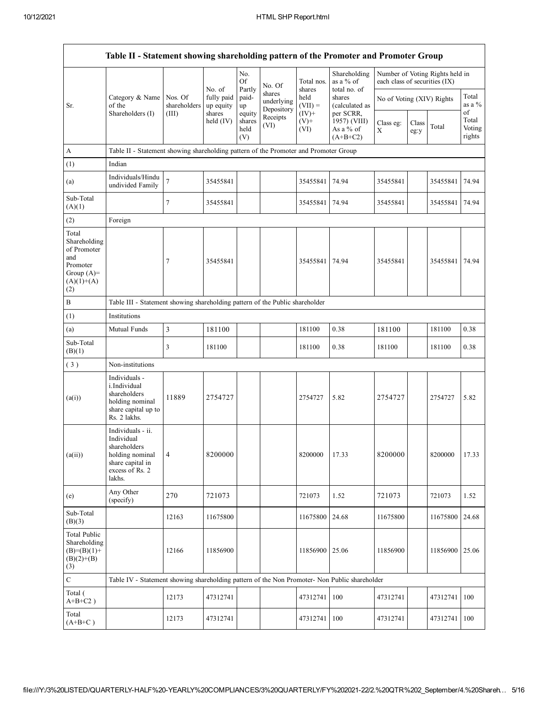|                                                                                                | Table II - Statement showing shareholding pattern of the Promoter and Promoter Group                                |                         |                         |                                 |                                    |                             |                                                      |                               |               |                                 |                                 |
|------------------------------------------------------------------------------------------------|---------------------------------------------------------------------------------------------------------------------|-------------------------|-------------------------|---------------------------------|------------------------------------|-----------------------------|------------------------------------------------------|-------------------------------|---------------|---------------------------------|---------------------------------|
|                                                                                                |                                                                                                                     |                         | No. of                  | No.<br><b>Of</b>                | No. Of                             | Total nos.                  | Shareholding<br>as a % of                            | each class of securities (IX) |               | Number of Voting Rights held in |                                 |
| Sr.                                                                                            | Category & Name<br>of the                                                                                           | Nos. Of<br>shareholders | fully paid<br>up equity | Partly<br>paid-<br>up           | shares<br>underlying<br>Depository | shares<br>held<br>$(VII) =$ | total no. of<br>shares<br>(calculated as             | No of Voting (XIV) Rights     |               |                                 | Total<br>as a $%$               |
|                                                                                                | Shareholders (I)                                                                                                    | (III)                   | shares<br>held $(IV)$   | equity<br>shares<br>held<br>(V) | Receipts<br>(VI)                   | $(IV)$ +<br>$(V)$ +<br>(VI) | per SCRR,<br>1957) (VIII)<br>As a % of<br>$(A+B+C2)$ | Class eg:<br>X                | Class<br>eg:y | Total                           | of<br>Total<br>Voting<br>rights |
| $\mathbf{A}$                                                                                   | Table II - Statement showing shareholding pattern of the Promoter and Promoter Group                                |                         |                         |                                 |                                    |                             |                                                      |                               |               |                                 |                                 |
| (1)                                                                                            | Indian                                                                                                              |                         |                         |                                 |                                    |                             |                                                      |                               |               |                                 |                                 |
| (a)                                                                                            | Individuals/Hindu<br>undivided Family                                                                               | $\overline{7}$          | 35455841                |                                 |                                    | 35455841                    | 74.94                                                | 35455841                      |               | 35455841                        | 74.94                           |
| Sub-Total<br>(A)(1)                                                                            |                                                                                                                     | 7                       | 35455841                |                                 |                                    | 35455841                    | 74.94                                                | 35455841                      |               | 35455841                        | 74.94                           |
| (2)                                                                                            | Foreign                                                                                                             |                         |                         |                                 |                                    |                             |                                                      |                               |               |                                 |                                 |
| Total<br>Shareholding<br>of Promoter<br>and<br>Promoter<br>Group $(A)=$<br>$(A)(1)+(A)$<br>(2) |                                                                                                                     | 7                       | 35455841                |                                 |                                    | 35455841                    | 74.94                                                | 35455841                      |               | 35455841                        | 74.94                           |
| $\, {\bf B}$                                                                                   | Table III - Statement showing shareholding pattern of the Public shareholder                                        |                         |                         |                                 |                                    |                             |                                                      |                               |               |                                 |                                 |
| (1)                                                                                            | Institutions                                                                                                        |                         |                         |                                 |                                    |                             |                                                      |                               |               |                                 |                                 |
| (a)                                                                                            | Mutual Funds                                                                                                        | 3                       | 181100                  |                                 |                                    | 181100                      | 0.38                                                 | 181100                        |               | 181100                          | 0.38                            |
| Sub-Total<br>(B)(1)                                                                            |                                                                                                                     | 3                       | 181100                  |                                 |                                    | 181100                      | 0.38                                                 | 181100                        |               | 181100                          | 0.38                            |
| (3)                                                                                            | Non-institutions                                                                                                    |                         |                         |                                 |                                    |                             |                                                      |                               |               |                                 |                                 |
| (a(i))                                                                                         | Individuals -<br>i.Individual<br>shareholders<br>holding nominal<br>share capital up to<br>Rs. 2 lakhs.             | 11889                   | 2754727                 |                                 |                                    | 2754727                     | 5.82                                                 | 2754727                       |               | 2754727                         | 5.82                            |
| (a(ii))                                                                                        | Individuals - ii.<br>Individual<br>shareholders<br>holding nominal<br>share capital in<br>excess of Rs. 2<br>lakhs. | $\overline{4}$          | 8200000                 |                                 |                                    | 8200000                     | 17.33                                                | 8200000                       |               | 8200000                         | 17.33                           |
| (e)                                                                                            | Any Other<br>(specify)                                                                                              | 270                     | 721073                  |                                 |                                    | 721073                      | 1.52                                                 | 721073                        |               | 721073                          | 1.52                            |
| Sub-Total<br>(B)(3)                                                                            |                                                                                                                     | 12163                   | 11675800                |                                 |                                    | 11675800                    | 24.68                                                | 11675800                      |               | 11675800                        | 24.68                           |
| <b>Total Public</b><br>Shareholding<br>$(B)=(B)(1)+$<br>$(B)(2)+(B)$<br>(3)                    |                                                                                                                     | 12166                   | 11856900                |                                 |                                    | 11856900                    | 25.06                                                | 11856900                      |               | 11856900                        | 25.06                           |
| C                                                                                              | Table IV - Statement showing shareholding pattern of the Non Promoter- Non Public shareholder                       |                         |                         |                                 |                                    |                             |                                                      |                               |               |                                 |                                 |
| Total (<br>$A+B+C2$ )                                                                          |                                                                                                                     | 12173                   | 47312741                |                                 |                                    | 47312741                    | 100                                                  | 47312741                      |               | 47312741                        | 100                             |
| Total<br>$(A+B+C)$                                                                             |                                                                                                                     | 12173                   | 47312741                |                                 |                                    | 47312741                    | 100                                                  | 47312741                      |               | 47312741                        | 100                             |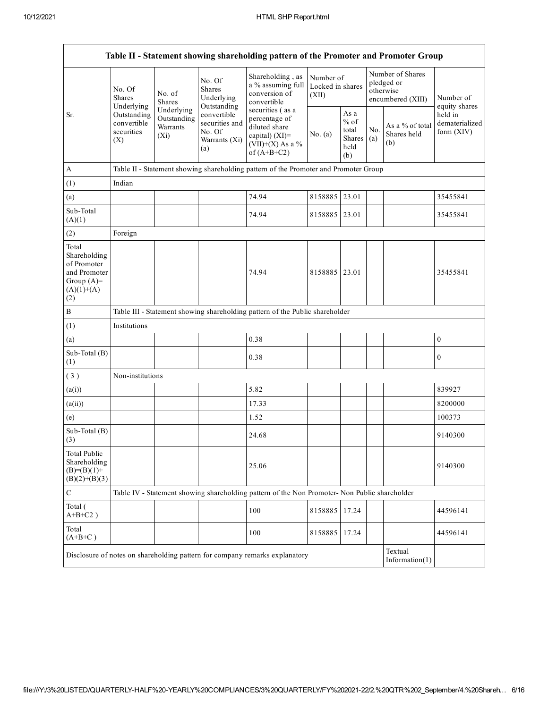|                                                                                             | Table II - Statement showing shareholding pattern of the Promoter and Promoter Group |                                                                   |                                                      |                                                                                                             |                                        |                                                  |                                                                  |                                       |                                         |
|---------------------------------------------------------------------------------------------|--------------------------------------------------------------------------------------|-------------------------------------------------------------------|------------------------------------------------------|-------------------------------------------------------------------------------------------------------------|----------------------------------------|--------------------------------------------------|------------------------------------------------------------------|---------------------------------------|-----------------------------------------|
|                                                                                             | No. Of<br><b>Shares</b><br>Underlying                                                | No. of<br><b>Shares</b>                                           | No. Of<br><b>Shares</b><br>Underlying<br>Outstanding | Shareholding, as<br>a % assuming full<br>conversion of<br>convertible                                       | Number of<br>Locked in shares<br>(XII) |                                                  | Number of Shares<br>pledged or<br>otherwise<br>encumbered (XIII) |                                       | Number of<br>equity shares              |
| Sr.                                                                                         | Outstanding<br>convertible<br>securities<br>(X)                                      | Underlying<br>Outstanding<br>Warrants<br>No. Of<br>$(X_i)$<br>(a) | convertible<br>securities and<br>Warrants (Xi)       | securities (as a<br>percentage of<br>diluted share<br>capital) (XI)=<br>$(VII)+(X)$ As a %<br>of $(A+B+C2)$ | No. (a)                                | As a<br>$%$ of<br>total<br>Shares<br>held<br>(b) | No.<br>(a)                                                       | As a % of total<br>Shares held<br>(b) | held in<br>dematerialized<br>form (XIV) |
| $\mathbf{A}$                                                                                |                                                                                      |                                                                   |                                                      | Table II - Statement showing shareholding pattern of the Promoter and Promoter Group                        |                                        |                                                  |                                                                  |                                       |                                         |
| (1)                                                                                         | Indian                                                                               |                                                                   |                                                      |                                                                                                             |                                        |                                                  |                                                                  |                                       |                                         |
| (a)                                                                                         |                                                                                      |                                                                   |                                                      | 74.94                                                                                                       | 8158885 23.01                          |                                                  |                                                                  |                                       | 35455841                                |
| Sub-Total<br>(A)(1)                                                                         |                                                                                      |                                                                   |                                                      | 74.94                                                                                                       | 8158885                                | 23.01                                            |                                                                  |                                       | 35455841                                |
| (2)                                                                                         | Foreign                                                                              |                                                                   |                                                      |                                                                                                             |                                        |                                                  |                                                                  |                                       |                                         |
| Total<br>Shareholding<br>of Promoter<br>and Promoter<br>Group $(A)=$<br>$(A)(1)+(A)$<br>(2) |                                                                                      |                                                                   |                                                      | 74.94                                                                                                       | 8158885 23.01                          |                                                  |                                                                  |                                       | 35455841                                |
| $\, {\bf B}$                                                                                |                                                                                      |                                                                   |                                                      | Table III - Statement showing shareholding pattern of the Public shareholder                                |                                        |                                                  |                                                                  |                                       |                                         |
| (1)                                                                                         | Institutions                                                                         |                                                                   |                                                      |                                                                                                             |                                        |                                                  |                                                                  |                                       |                                         |
| (a)                                                                                         |                                                                                      |                                                                   |                                                      | 0.38                                                                                                        |                                        |                                                  |                                                                  |                                       | $\boldsymbol{0}$                        |
| Sub-Total (B)<br>(1)                                                                        |                                                                                      |                                                                   |                                                      | 0.38                                                                                                        |                                        |                                                  |                                                                  |                                       | $\boldsymbol{0}$                        |
| (3)                                                                                         | Non-institutions                                                                     |                                                                   |                                                      |                                                                                                             |                                        |                                                  |                                                                  |                                       |                                         |
| (a(i))                                                                                      |                                                                                      |                                                                   |                                                      | 5.82                                                                                                        |                                        |                                                  |                                                                  |                                       | 839927                                  |
| (a(ii))                                                                                     |                                                                                      |                                                                   |                                                      | 17.33                                                                                                       |                                        |                                                  |                                                                  |                                       | 8200000                                 |
| (e)                                                                                         |                                                                                      |                                                                   |                                                      | 1.52                                                                                                        |                                        |                                                  |                                                                  |                                       | 100373                                  |
| Sub-Total (B)<br>(3)                                                                        |                                                                                      |                                                                   |                                                      | 24.68                                                                                                       |                                        |                                                  |                                                                  |                                       | 9140300                                 |
| Total Public<br>Shareholding<br>$(B)=(B)(1)+$<br>$(B)(2)+(B)(3)$                            |                                                                                      |                                                                   |                                                      | 25.06                                                                                                       |                                        |                                                  |                                                                  |                                       | 9140300                                 |
| $\mathbf C$                                                                                 |                                                                                      |                                                                   |                                                      | Table IV - Statement showing shareholding pattern of the Non Promoter- Non Public shareholder               |                                        |                                                  |                                                                  |                                       |                                         |
| Total (<br>$A+B+C2$ )                                                                       |                                                                                      |                                                                   |                                                      | 100                                                                                                         | 8158885                                | 17.24                                            |                                                                  |                                       | 44596141                                |
| Total<br>$(A+B+C)$                                                                          |                                                                                      |                                                                   |                                                      | 100                                                                                                         | 8158885                                | 17.24                                            |                                                                  |                                       | 44596141                                |
|                                                                                             |                                                                                      |                                                                   |                                                      | Disclosure of notes on shareholding pattern for company remarks explanatory                                 |                                        |                                                  |                                                                  | Textual<br>Information $(1)$          |                                         |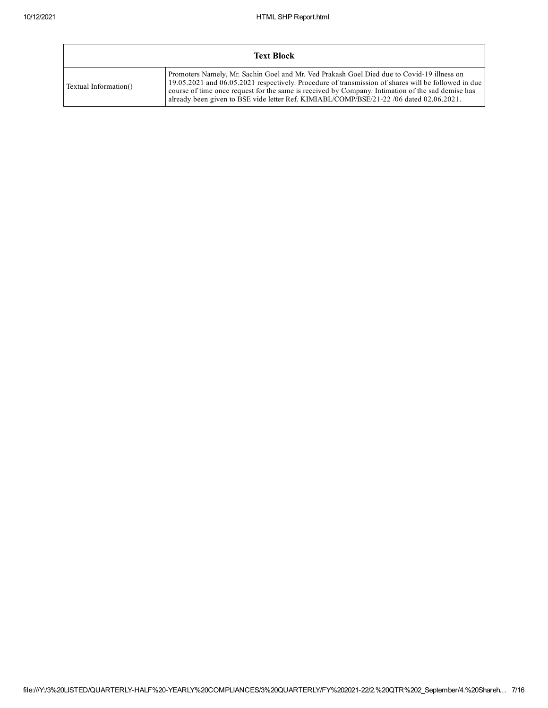|                       | <b>Text Block</b>                                                                                                                                                                                                                                                                                                                                                                                 |
|-----------------------|---------------------------------------------------------------------------------------------------------------------------------------------------------------------------------------------------------------------------------------------------------------------------------------------------------------------------------------------------------------------------------------------------|
| Textual Information() | Promoters Namely, Mr. Sachin Goel and Mr. Ved Prakash Goel Died due to Covid-19 illness on<br>19.05.2021 and 06.05.2021 respectively. Procedure of transmission of shares will be followed in due<br>course of time once request for the same is received by Company. Intimation of the sad demise has<br>already been given to BSE vide letter Ref. KIMIABL/COMP/BSE/21-22 /06 dated 02.06.2021. |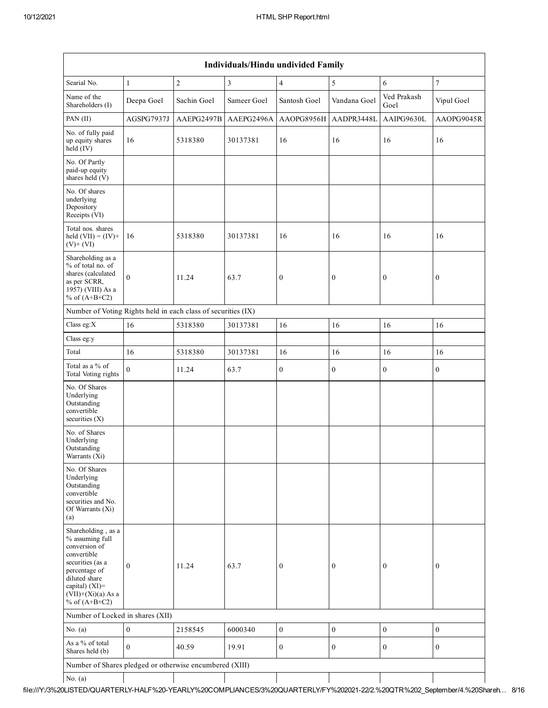|                                                                                                                                                                                          | Individuals/Hindu undivided Family |                |                |                  |                  |                     |                  |  |  |  |
|------------------------------------------------------------------------------------------------------------------------------------------------------------------------------------------|------------------------------------|----------------|----------------|------------------|------------------|---------------------|------------------|--|--|--|
| Searial No.                                                                                                                                                                              | $1\,$                              | $\overline{c}$ | $\mathfrak{Z}$ | $\overline{4}$   | 5                | 6                   | $\overline{7}$   |  |  |  |
| Name of the<br>Shareholders (I)                                                                                                                                                          | Deepa Goel                         | Sachin Goel    | Sameer Goel    | Santosh Goel     | Vandana Goel     | Ved Prakash<br>Goel | Vipul Goel       |  |  |  |
| PAN (II)                                                                                                                                                                                 | AGSPG7937J                         | AAEPG2497B     | AAEPG2496A     | AAOPG8956H       | AADPR3448L       | AAIPG9630L          | AAOPG9045R       |  |  |  |
| No. of fully paid<br>up equity shares<br>held $(IV)$                                                                                                                                     | 16                                 | 5318380        | 30137381       | 16               | 16               | 16                  | 16               |  |  |  |
| No. Of Partly<br>paid-up equity<br>shares held (V)                                                                                                                                       |                                    |                |                |                  |                  |                     |                  |  |  |  |
| No. Of shares<br>underlying<br>Depository<br>Receipts (VI)                                                                                                                               |                                    |                |                |                  |                  |                     |                  |  |  |  |
| Total nos. shares<br>held $(VII) = (IV) +$<br>$(V)+(VI)$                                                                                                                                 | 16                                 | 5318380        | 30137381       | 16               | 16               | 16                  | 16               |  |  |  |
| Shareholding as a<br>% of total no. of<br>shares (calculated<br>as per SCRR,<br>1957) (VIII) As a<br>% of $(A+B+C2)$                                                                     | $\theta$                           | 11.24          | 63.7           | $\boldsymbol{0}$ | $\boldsymbol{0}$ | $\boldsymbol{0}$    | $\boldsymbol{0}$ |  |  |  |
| Number of Voting Rights held in each class of securities (IX)                                                                                                                            |                                    |                |                |                  |                  |                     |                  |  |  |  |
| Class eg:X                                                                                                                                                                               | 16                                 | 5318380        | 30137381       | 16               | 16               | 16                  | 16               |  |  |  |
| Class eg:y                                                                                                                                                                               |                                    |                |                |                  |                  |                     |                  |  |  |  |
| Total                                                                                                                                                                                    | 16                                 | 5318380        | 30137381       | 16               | 16               | 16                  | 16               |  |  |  |
| Total as a % of<br>Total Voting rights                                                                                                                                                   | $\theta$                           | 11.24          | 63.7           | $\boldsymbol{0}$ | $\boldsymbol{0}$ | $\boldsymbol{0}$    | $\boldsymbol{0}$ |  |  |  |
| No. Of Shares<br>Underlying<br>Outstanding<br>convertible<br>securities $(X)$                                                                                                            |                                    |                |                |                  |                  |                     |                  |  |  |  |
| No. of Shares<br>Underlying<br>Outstanding<br>Warrants (Xi)                                                                                                                              |                                    |                |                |                  |                  |                     |                  |  |  |  |
| No. Of Shares<br>Underlying<br>Outstanding<br>convertible<br>securities and No.<br>Of Warrants (Xi)<br>(a)                                                                               |                                    |                |                |                  |                  |                     |                  |  |  |  |
| Shareholding, as a<br>% assuming full<br>conversion of<br>convertible<br>securities (as a<br>percentage of<br>diluted share<br>capital) (XI)=<br>$(VII)+(Xi)(a)$ As a<br>% of $(A+B+C2)$ | $\mathbf{0}$                       | 11.24          | 63.7           | $\boldsymbol{0}$ | $\boldsymbol{0}$ | $\boldsymbol{0}$    | $\boldsymbol{0}$ |  |  |  |
| Number of Locked in shares (XII)                                                                                                                                                         |                                    |                |                |                  |                  |                     |                  |  |  |  |
| No. $(a)$                                                                                                                                                                                | $\boldsymbol{0}$                   | 2158545        | 6000340        | $\boldsymbol{0}$ | $\boldsymbol{0}$ | $\boldsymbol{0}$    | $\boldsymbol{0}$ |  |  |  |
| As a % of total<br>Shares held (b)                                                                                                                                                       | $\mathbf{0}$                       | 40.59          | 19.91          | $\boldsymbol{0}$ | $\mathbf{0}$     | $\boldsymbol{0}$    | $\boldsymbol{0}$ |  |  |  |
| Number of Shares pledged or otherwise encumbered (XIII)                                                                                                                                  |                                    |                |                |                  |                  |                     |                  |  |  |  |
| No. $(a)$                                                                                                                                                                                |                                    |                |                |                  |                  |                     |                  |  |  |  |

file:///Y:/3%20LISTED/QUARTERLYHALF%20YEARLY%20COMPLIANCES/3%20QUARTERLY/FY%20202122/2.%20QTR%202\_September/4.%20Shareh… 8/16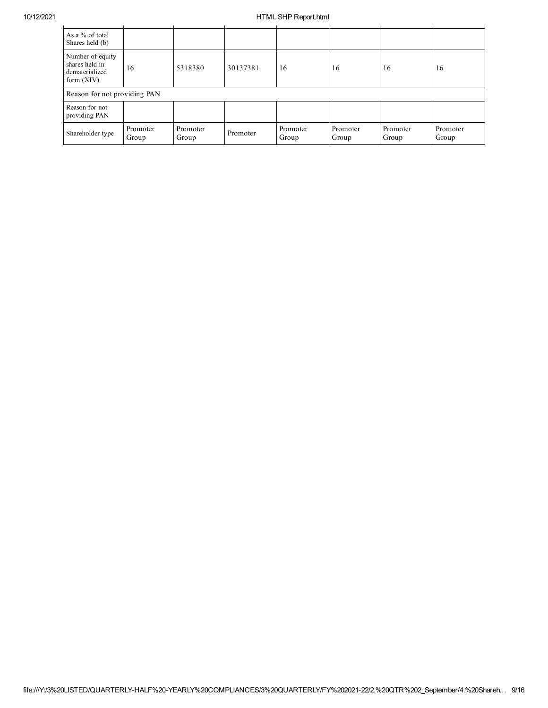## 10/12/2021 HTML SHP Report.html

| As a % of total<br>Shares held (b)                                   |                   |                   |          |                   |                   |                   |                   |
|----------------------------------------------------------------------|-------------------|-------------------|----------|-------------------|-------------------|-------------------|-------------------|
| Number of equity<br>shares held in<br>dematerialized<br>form $(XIV)$ | 16                | 5318380           | 30137381 | 16                | 16                | 16                | 16                |
| Reason for not providing PAN                                         |                   |                   |          |                   |                   |                   |                   |
| Reason for not<br>providing PAN                                      |                   |                   |          |                   |                   |                   |                   |
| Shareholder type                                                     | Promoter<br>Group | Promoter<br>Group | Promoter | Promoter<br>Group | Promoter<br>Group | Promoter<br>Group | Promoter<br>Group |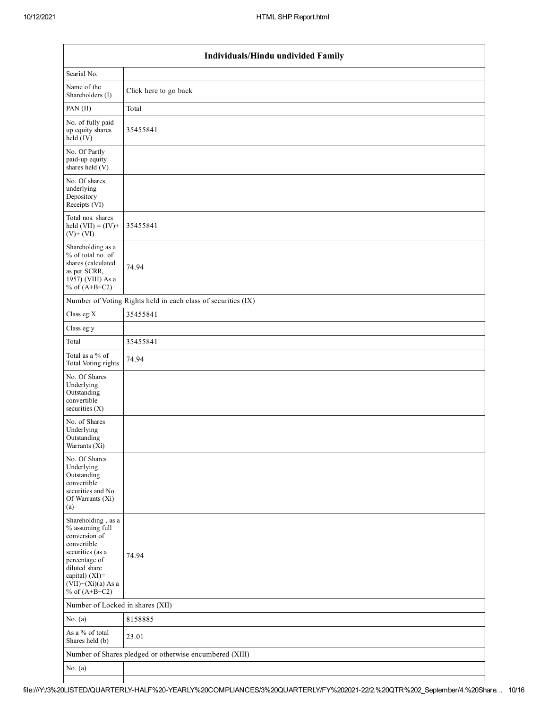|                                                                                                                                                                                          | <b>Individuals/Hindu undivided Family</b>                     |  |  |  |  |  |  |  |  |
|------------------------------------------------------------------------------------------------------------------------------------------------------------------------------------------|---------------------------------------------------------------|--|--|--|--|--|--|--|--|
| Searial No.                                                                                                                                                                              |                                                               |  |  |  |  |  |  |  |  |
| Name of the<br>Shareholders (I)                                                                                                                                                          | Click here to go back                                         |  |  |  |  |  |  |  |  |
| PAN (II)                                                                                                                                                                                 | Total                                                         |  |  |  |  |  |  |  |  |
| No. of fully paid<br>up equity shares<br>$\text{held}(\text{IV})$                                                                                                                        | 35455841                                                      |  |  |  |  |  |  |  |  |
| No. Of Partly<br>paid-up equity<br>shares held $(V)$                                                                                                                                     |                                                               |  |  |  |  |  |  |  |  |
| No. Of shares<br>underlying<br>Depository<br>Receipts (VI)                                                                                                                               |                                                               |  |  |  |  |  |  |  |  |
| Total nos. shares<br>held $(VII) = (IV) +$<br>$(V)+(VI)$                                                                                                                                 | 35455841                                                      |  |  |  |  |  |  |  |  |
| Shareholding as a<br>% of total no. of<br>shares (calculated<br>as per SCRR,<br>1957) (VIII) As a<br>% of $(A+B+C2)$                                                                     | 74.94                                                         |  |  |  |  |  |  |  |  |
|                                                                                                                                                                                          | Number of Voting Rights held in each class of securities (IX) |  |  |  |  |  |  |  |  |
| Class eg: $X$                                                                                                                                                                            | 35455841                                                      |  |  |  |  |  |  |  |  |
| Class eg:y                                                                                                                                                                               |                                                               |  |  |  |  |  |  |  |  |
| Total                                                                                                                                                                                    | 35455841                                                      |  |  |  |  |  |  |  |  |
| Total as a % of<br>Total Voting rights                                                                                                                                                   | 74.94                                                         |  |  |  |  |  |  |  |  |
| No. Of Shares<br>Underlying<br>Outstanding<br>convertible<br>securities (X)                                                                                                              |                                                               |  |  |  |  |  |  |  |  |
| No. of Shares<br>Underlying<br>Outstanding<br>Warrants (Xi)                                                                                                                              |                                                               |  |  |  |  |  |  |  |  |
| No. Of Shares<br>Underlying<br>Outstanding<br>convertible<br>securities and No.<br>Of Warrants (Xi)<br>(a)                                                                               |                                                               |  |  |  |  |  |  |  |  |
| Shareholding, as a<br>% assuming full<br>conversion of<br>convertible<br>securities (as a<br>percentage of<br>diluted share<br>capital) (XI)=<br>$(VII)+(Xi)(a)$ As a<br>% of $(A+B+C2)$ | 74.94                                                         |  |  |  |  |  |  |  |  |
| Number of Locked in shares (XII)                                                                                                                                                         |                                                               |  |  |  |  |  |  |  |  |
| No. $(a)$                                                                                                                                                                                | 8158885                                                       |  |  |  |  |  |  |  |  |
| As a % of total<br>Shares held (b)                                                                                                                                                       | 23.01                                                         |  |  |  |  |  |  |  |  |
|                                                                                                                                                                                          | Number of Shares pledged or otherwise encumbered (XIII)       |  |  |  |  |  |  |  |  |
| No. $(a)$                                                                                                                                                                                |                                                               |  |  |  |  |  |  |  |  |
|                                                                                                                                                                                          |                                                               |  |  |  |  |  |  |  |  |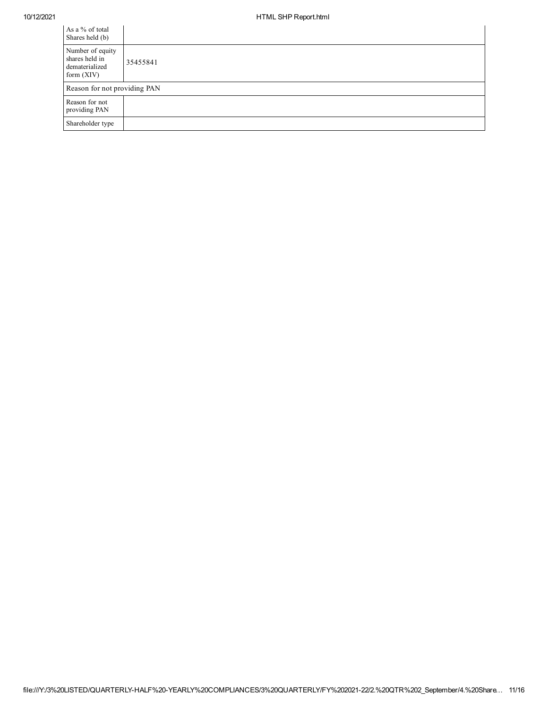| As a % of total<br>Shares held (b)                                   |          |
|----------------------------------------------------------------------|----------|
| Number of equity<br>shares held in<br>dematerialized<br>form $(XIV)$ | 35455841 |
| Reason for not providing PAN                                         |          |
| Reason for not<br>providing PAN                                      |          |
| Shareholder type                                                     |          |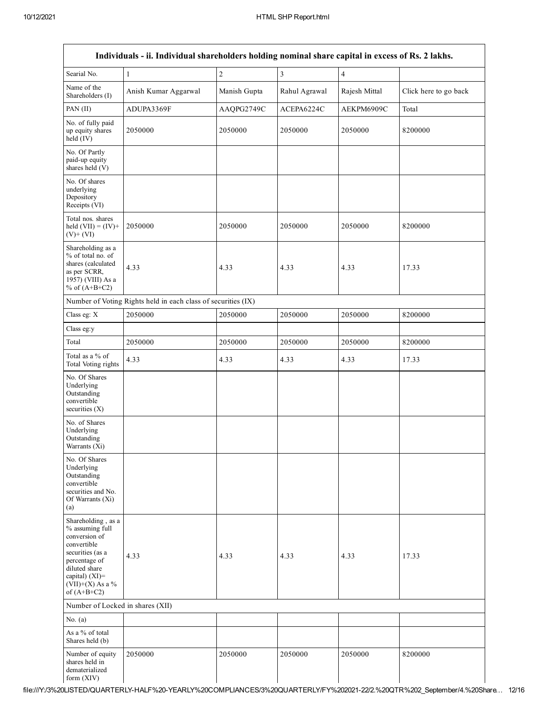|                                                                                                                                                                                      | Individuals - ii. Individual shareholders holding nominal share capital in excess of Rs. 2 lakhs. |                |                |                |                       |
|--------------------------------------------------------------------------------------------------------------------------------------------------------------------------------------|---------------------------------------------------------------------------------------------------|----------------|----------------|----------------|-----------------------|
| Searial No.                                                                                                                                                                          | $\mathbf{1}$                                                                                      | $\overline{c}$ | $\overline{3}$ | $\overline{4}$ |                       |
| Name of the<br>Shareholders (I)                                                                                                                                                      | Anish Kumar Aggarwal                                                                              | Manish Gupta   | Rahul Agrawal  | Rajesh Mittal  | Click here to go back |
| PAN (II)                                                                                                                                                                             | ADUPA3369F                                                                                        | AAQPG2749C     | ACEPA6224C     | AEKPM6909C     | Total                 |
| No. of fully paid<br>up equity shares<br>$held$ (IV)                                                                                                                                 | 2050000                                                                                           | 2050000        | 2050000        | 2050000        | 8200000               |
| No. Of Partly<br>paid-up equity<br>shares held (V)                                                                                                                                   |                                                                                                   |                |                |                |                       |
| No. Of shares<br>underlying<br>Depository<br>Receipts (VI)                                                                                                                           |                                                                                                   |                |                |                |                       |
| Total nos. shares<br>held $(VII) = (IV) +$<br>$(V)$ + $(VI)$                                                                                                                         | 2050000                                                                                           | 2050000        | 2050000        | 2050000        | 8200000               |
| Shareholding as a<br>% of total no. of<br>shares (calculated<br>as per SCRR,<br>1957) (VIII) As a<br>% of $(A+B+C2)$                                                                 | 4.33                                                                                              | 4.33           | 4.33           | 4.33           | 17.33                 |
|                                                                                                                                                                                      | Number of Voting Rights held in each class of securities (IX)                                     |                |                |                |                       |
| Class eg: X                                                                                                                                                                          | 2050000                                                                                           | 2050000        | 2050000        | 2050000        | 8200000               |
| Class eg:y                                                                                                                                                                           |                                                                                                   |                |                |                |                       |
| Total                                                                                                                                                                                | 2050000                                                                                           | 2050000        | 2050000        | 2050000        | 8200000               |
| Total as a % of<br>Total Voting rights                                                                                                                                               | 4.33                                                                                              | 4.33           | 4.33           | 4.33           | 17.33                 |
| No. Of Shares<br>Underlying<br>Outstanding<br>convertible<br>securities $(X)$                                                                                                        |                                                                                                   |                |                |                |                       |
| No. of Shares<br>Underlying<br>Outstanding<br>Warrants (Xi)                                                                                                                          |                                                                                                   |                |                |                |                       |
| No. Of Shares<br>Underlying<br>Outstanding<br>convertible<br>securities and No.<br>Of Warrants (Xi)<br>(a)                                                                           |                                                                                                   |                |                |                |                       |
| Shareholding, as a<br>% assuming full<br>conversion of<br>convertible<br>securities (as a<br>percentage of<br>diluted share<br>capital) (XI)=<br>$(VII)+(X)$ As a %<br>of $(A+B+C2)$ | 4.33                                                                                              | 4.33           | 4.33           | 4.33           | 17.33                 |
| Number of Locked in shares (XII)                                                                                                                                                     |                                                                                                   |                |                |                |                       |
| No. $(a)$                                                                                                                                                                            |                                                                                                   |                |                |                |                       |
| As a % of total<br>Shares held (b)                                                                                                                                                   |                                                                                                   |                |                |                |                       |
| Number of equity<br>shares held in<br>dematerialized<br>form (XIV)                                                                                                                   | 2050000                                                                                           | 2050000        | 2050000        | 2050000        | 8200000               |

file:///Y:/3%20LISTED/QUARTERLYHALF%20YEARLY%20COMPLIANCES/3%20QUARTERLY/FY%20202122/2.%20QTR%202\_September/4.%20Share… 12/16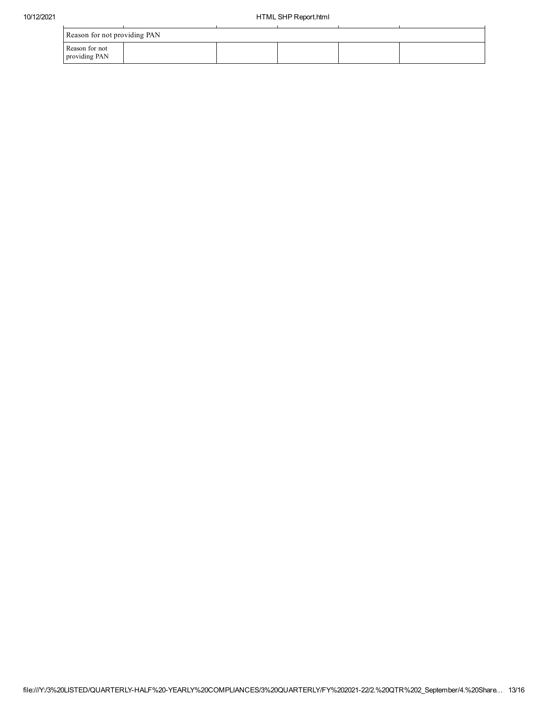| Reason for not providing PAN    |  |  |  |  |  |  |  |
|---------------------------------|--|--|--|--|--|--|--|
| Reason for not<br>providing PAN |  |  |  |  |  |  |  |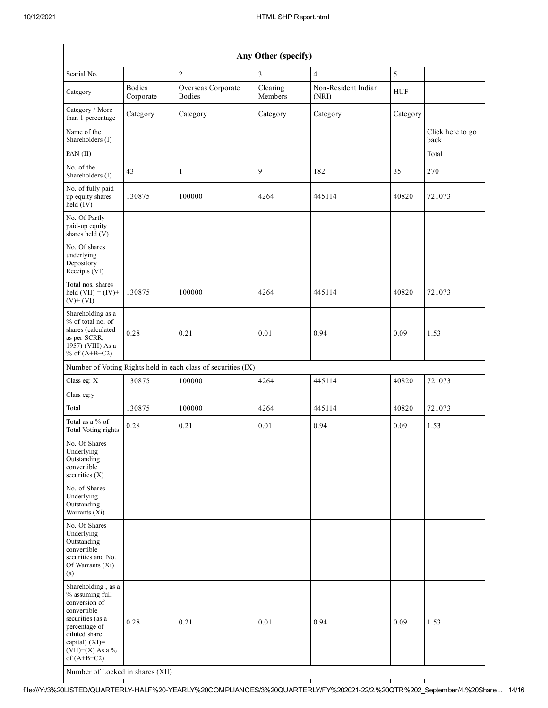| Any Other (specify)                                                                                                                                                                  |                            |                                                               |                     |                              |            |                          |  |  |
|--------------------------------------------------------------------------------------------------------------------------------------------------------------------------------------|----------------------------|---------------------------------------------------------------|---------------------|------------------------------|------------|--------------------------|--|--|
| Searial No.                                                                                                                                                                          | $\mathbf{1}$               | $\overline{c}$                                                | 3                   | $\overline{4}$               | 5          |                          |  |  |
| Category                                                                                                                                                                             | <b>Bodies</b><br>Corporate | Overseas Corporate<br><b>Bodies</b>                           | Clearing<br>Members | Non-Resident Indian<br>(NRI) | <b>HUF</b> |                          |  |  |
| Category / More<br>than 1 percentage                                                                                                                                                 | Category                   | Category                                                      | Category            | Category                     | Category   |                          |  |  |
| Name of the<br>Shareholders (I)                                                                                                                                                      |                            |                                                               |                     |                              |            | Click here to go<br>back |  |  |
| PAN (II)                                                                                                                                                                             |                            |                                                               |                     |                              |            | Total                    |  |  |
| No. of the<br>Shareholders (I)                                                                                                                                                       | 43                         | $\mathbf{1}$                                                  | 9                   | 182                          | 35         | 270                      |  |  |
| No. of fully paid<br>up equity shares<br>held (IV)                                                                                                                                   | 130875                     | 100000                                                        | 4264                | 445114                       | 40820      | 721073                   |  |  |
| No. Of Partly<br>paid-up equity<br>shares held (V)                                                                                                                                   |                            |                                                               |                     |                              |            |                          |  |  |
| No. Of shares<br>underlying<br>Depository<br>Receipts (VI)                                                                                                                           |                            |                                                               |                     |                              |            |                          |  |  |
| Total nos. shares<br>held $(VII) = (IV) +$<br>$(V)$ + $(VI)$                                                                                                                         | 130875                     | 100000                                                        | 4264                | 445114                       | 40820      | 721073                   |  |  |
| Shareholding as a<br>% of total no. of<br>shares (calculated<br>as per SCRR,<br>1957) (VIII) As a<br>% of $(A+B+C2)$                                                                 | 0.28                       | 0.21                                                          | 0.01                | 0.94                         | 0.09       | 1.53                     |  |  |
|                                                                                                                                                                                      |                            | Number of Voting Rights held in each class of securities (IX) |                     |                              |            |                          |  |  |
| Class eg: X                                                                                                                                                                          | 130875                     | 100000                                                        | 4264                | 445114                       | 40820      | 721073                   |  |  |
| Class eg:y                                                                                                                                                                           |                            |                                                               |                     |                              |            |                          |  |  |
| Total                                                                                                                                                                                | 130875                     | 100000                                                        | 4264                | 445114                       | 40820      | 721073                   |  |  |
| Total as a % of<br>Total Voting rights                                                                                                                                               | 0.28                       | 0.21                                                          | 0.01                | 0.94                         | 0.09       | 1.53                     |  |  |
| No. Of Shares<br>Underlying<br>Outstanding<br>convertible<br>securities $(X)$                                                                                                        |                            |                                                               |                     |                              |            |                          |  |  |
| No. of Shares<br>Underlying<br>Outstanding<br>Warrants (Xi)                                                                                                                          |                            |                                                               |                     |                              |            |                          |  |  |
| No. Of Shares<br>Underlying<br>Outstanding<br>convertible<br>securities and No.<br>Of Warrants (Xi)<br>(a)                                                                           |                            |                                                               |                     |                              |            |                          |  |  |
| Shareholding, as a<br>% assuming full<br>conversion of<br>convertible<br>securities (as a<br>percentage of<br>diluted share<br>capital) (XI)=<br>$(VII)+(X)$ As a %<br>of $(A+B+C2)$ | 0.28                       | 0.21                                                          | 0.01                | 0.94                         | 0.09       | 1.53                     |  |  |
| Number of Locked in shares (XII)                                                                                                                                                     |                            |                                                               |                     |                              |            |                          |  |  |

file:///Y:/3%20LISTED/QUARTERLYHALF%20YEARLY%20COMPLIANCES/3%20QUARTERLY/FY%20202122/2.%20QTR%202\_September/4.%20Share… 14/16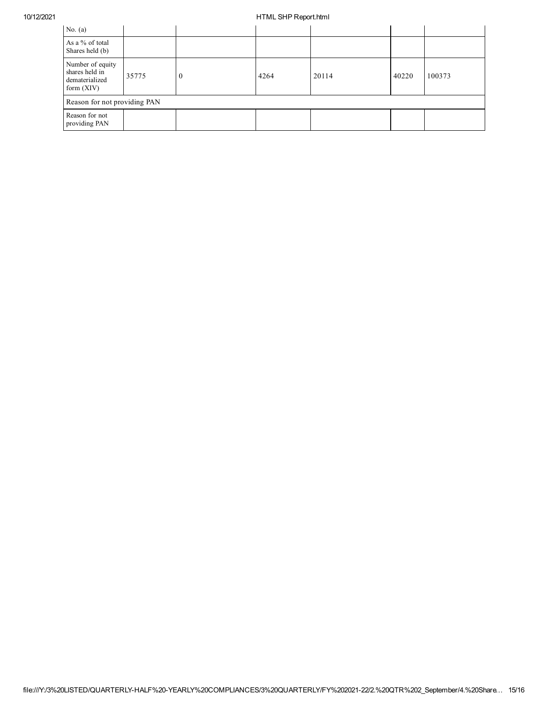## 10/12/2021 HTML SHP Report.html

| No. $(a)$                                                            |       |          |      |       |       |        |  |
|----------------------------------------------------------------------|-------|----------|------|-------|-------|--------|--|
| As a % of total<br>Shares held (b)                                   |       |          |      |       |       |        |  |
| Number of equity<br>shares held in<br>dematerialized<br>form $(XIV)$ | 35775 | $\theta$ | 4264 | 20114 | 40220 | 100373 |  |
| Reason for not providing PAN                                         |       |          |      |       |       |        |  |
| Reason for not<br>providing PAN                                      |       |          |      |       |       |        |  |